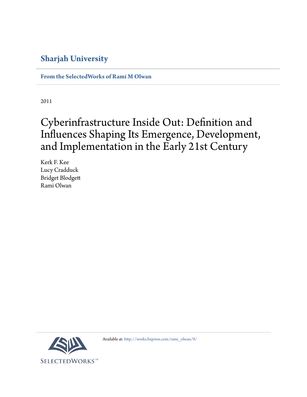# **Sharjah University**

**[From the SelectedWorks of Rami M Olwan](http://works.bepress.com/rami_olwan/)**

2011

# Cyberinfrastructure Inside Out: Definition and Influences Shaping Its Emergence, Development, and Implementation in the Early 21st Century

Kerk F. Kee Lucy Cradduck Bridget Blodgett Rami Olwan



Available at: [http://works.bepress.com/rami\\_olwan/9/](http://works.bepress.com/rami_olwan/9/)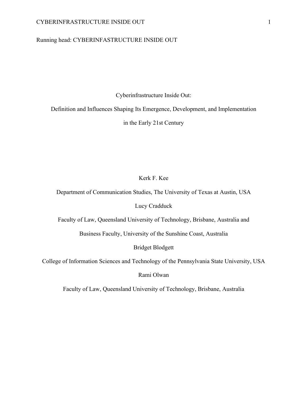#### CYBERINFRASTRUCTURE INSIDE OUT 1

# Running head: CYBERINFASTRUCTURE INSIDE OUT

Cyberinfrastructure Inside Out:

Definition and Influences Shaping Its Emergence, Development, and Implementation

in the Early 21st Century

# Kerk F. Kee

Department of Communication Studies, The University of Texas at Austin, USA

Lucy Cradduck

Faculty of Law, Queensland University of Technology, Brisbane, Australia and

Business Faculty, University of the Sunshine Coast, Australia

Bridget Blodgett

College of Information Sciences and Technology of the Pennsylvania State University, USA

Rami Olwan

Faculty of Law, Queensland University of Technology, Brisbane, Australia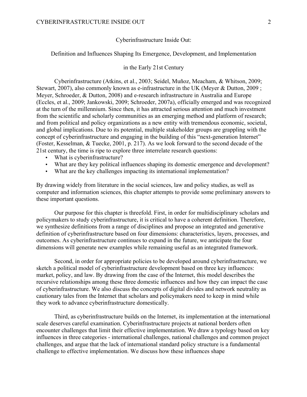#### Cyberinfrastructure Inside Out:

Definition and Influences Shaping Its Emergence, Development, and Implementation

# in the Early 21st Century

Cyberinfrastructure (Atkins, et al., 2003; Seidel, Muñoz, Meacham, & Whitson, 2009; Stewart, 2007), also commonly known as e-infrastructure in the UK (Meyer & Dutton, 2009 ; Meyer, Schroeder, & Dutton, 2008) and e-research infrastructure in Australia and Europe (Eccles, et al., 2009; Jankowski, 2009; Schroeder, 2007a), officially emerged and was recognized at the turn of the millennium. Since then, it has attracted serious attention and much investment from the scientific and scholarly communities as an emerging method and platform of research; and from political and policy organizations as a new entity with tremendous economic, societal, and global implications. Due to its potential, multiple stakeholder groups are grappling with the concept of cyberinfrastructure and engaging in the building of this "next-generation Internet" (Foster, Kesselman, & Tuecke, 2001, p. 217). As we look forward to the second decade of the 21st century, the time is ripe to explore three interrelate research questions:

- What is cyberinfrastructure?
- What are they key political influences shaping its domestic emergence and development?
- What are the key challenges impacting its international implementation?

By drawing widely from literature in the social sciences, law and policy studies, as well as computer and information sciences, this chapter attempts to provide some preliminary answers to these important questions.

Our purpose for this chapter is threefold. First, in order for multidisciplinary scholars and policymakers to study cyberinfrastructure, it is critical to have a coherent definition. Therefore, we synthesize definitions from a range of disciplines and propose an integrated and generative definition of cyberinfrastructure based on four dimensions: characteristics, layers, processes, and outcomes. As cyberinfrastructure continues to expand in the future, we anticipate the four dimensions will generate new examples while remaining useful as an integrated framework.

Second, in order for appropriate policies to be developed around cyberinfrastructure, we sketch a political model of cyberinfrastructure development based on three key influences: market, policy, and law. By drawing from the case of the Internet, this model describes the recursive relationships among these three domestic influences and how they can impact the case of cyberinfrastructure. We also discuss the concepts of digital divides and network neutrality as cautionary tales from the Internet that scholars and policymakers need to keep in mind while they work to advance cyberinfrastructure domestically.

Third, as cyberinfrastructure builds on the Internet, its implementation at the international scale deserves careful examination. Cyberinfrastructure projects at national borders often encounter challenges that limit their effective implementation. We draw a typology based on key influences in three categories - international challenges, national challenges and common project challenges, and argue that the lack of international standard policy structure is a fundamental challenge to effective implementation. We discuss how these influences shape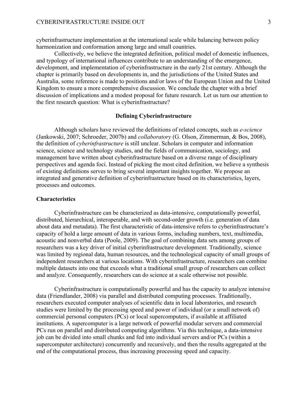cyberinfrastructure implementation at the international scale while balancing between policy harmonization and conformation among large and small countries.

Collectively, we believe the integrated definition, political model of domestic influences, and typology of international influences contribute to an understanding of the emergence, development, and implementation of cyberinfrastructure in the early 21st century. Although the chapter is primarily based on developments in, and the jurisdictions of the United States and Australia, some reference is made to positions and/or laws of the European Union and the United Kingdom to ensure a more comprehensive discussion. We conclude the chapter with a brief discussion of implications and a modest proposal for future research. Let us turn our attention to the first research question: What is cyberinfrastructure?

#### **Defining Cyberinfrastructure**

Although scholars have reviewed the definitions of related concepts, such as *e-science* (Jankowski, 2007; Schroeder, 2007b) and *collaboratory* (G. Olson, Zimmerman, & Bos, 2008), the definition of *cyberinfrastructure* is still unclear. Scholars in computer and information science, science and technology studies, and the fields of communication, sociology, and management have written about cyberinfrastructure based on a diverse range of disciplinary perspectives and agenda foci. Instead of picking the most cited definition, we believe a synthesis of existing definitions serves to bring several important insights together. We propose an integrated and generative definition of cyberinfrastructure based on its characteristics, layers, processes and outcomes.

# **Characteristics**

Cyberinfrastructure can be characterized as data-intensive, computationally powerful, distributed, hierarchical, interoperable, and with second-order growth (i.e. generation of data about data and metadata). The first characteristic of data-intensive refers to cyberinfrastructure's capacity of hold a large amount of data in various forms, including numbers, text, multimedia, acoustic and nonverbal data (Poole, 2009). The goal of combining data sets among groups of researchers was a key driver of initial cyberinfrastructure development. Traditionally, science was limited by regional data, human resources, and the technological capacity of small groups of independent researchers at various locations. With cyberinfrastructure, researchers can combine multiple datasets into one that exceeds what a traditional small group of researchers can collect and analyze. Consequently, researchers can do science at a scale otherwise not possible.

Cyberinfrastructure is computationally powerful and has the capacity to analyze intensive data (Friendlander, 2008) via parallel and distributed computing processes. Traditionally, researchers executed computer analyses of scientific data in local laboratories, and research studies were limited by the processing speed and power of individual (or a small network of) commercial personal computers (PCs) or local supercomputers, if available at affiliated institutions. A supercomputer is a large network of powerful modular servers and commercial PCs run on parallel and distributed computing algorithms. Via this technique, a data-intensive job can be divided into small chunks and fed into individual servers and/or PCs (within a supercomputer architecture) concurrently and recursively, and then the results aggregated at the end of the computational process, thus increasing processing speed and capacity.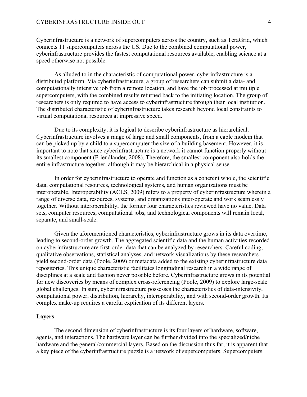#### CYBERINFRASTRUCTURE INSIDE OUT 4

Cyberinfrastructure is a network of supercomputers across the country, such as TeraGrid, which connects 11 supercomputers across the US. Due to the combined computational power, cyberinfrastructure provides the fastest computational resources available, enabling science at a speed otherwise not possible.

As alluded to in the characteristic of computational power, cyberinfrastructure is a distributed platform. Via cyberinfrastructure, a group of researchers can submit a data- and computationally intensive job from a remote location, and have the job processed at multiple supercomputers, with the combined results returned back to the initiating location. The group of researchers is only required to have access to cyberinfrastructure through their local institution. The distributed characteristic of cyberinfrastructure takes research beyond local constraints to virtual computational resources at impressive speed.

Due to its complexity, it is logical to describe cyberinfrastructure as hierarchical. Cyberinfrastructure involves a range of large and small components, from a cable modem that can be picked up by a child to a supercomputer the size of a building basement. However, it is important to note that since cyberinfrastructure is a network it cannot function properly without its smallest component (Friendlander, 2008). Therefore, the smallest component also holds the entire infrastructure together, although it may be hierarchical in a physical sense.

In order for cyberinfrastructure to operate and function as a coherent whole, the scientific data, computational resources, technological systems, and human organizations must be interoperable. Interoperability (ACLS, 2009) refers to a property of cyberinfrastructure wherein a range of diverse data, resources, systems, and organizations inter-operate and work seamlessly together. Without interoperability, the former four characteristics reviewed have no value. Data sets, computer resources, computational jobs, and technological components will remain local, separate, and small-scale.

Given the aforementioned characteristics, cyberinfrastructure grows in its data overtime, leading to second-order growth. The aggregated scientific data and the human activities recorded on cyberinfrastructure are first-order data that can be analyzed by researchers. Careful coding, qualitative observations, statistical analyses, and network visualizations by these researchers yield second-order data (Poole, 2009) or metadata added to the existing cyberinfrastructure data repositories. This unique characteristic facilitates longitudinal research in a wide range of disciplines at a scale and fashion never possible before. Cyberinfrastructure grows in its potential for new discoveries by means of complex cross-referencing (Poole, 2009) to explore large-scale global challenges. In sum, cyberinfrastructure possesses the characteristics of data-intensivity, computational power, distribution, hierarchy, interoperability, and with second-order growth. Its complex make-up requires a careful explication of its different layers.

#### **Layers**

The second dimension of cyberinfrastructure is its four layers of hardware, software, agents, and interactions. The hardware layer can be further divided into the specialized/niche hardware and the general/commercial layers. Based on the discussion thus far, it is apparent that a key piece of the cyberinfrastructure puzzle is a network of supercomputers. Supercomputers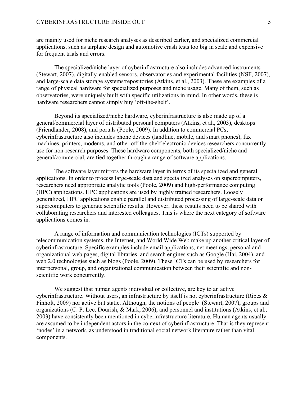are mainly used for niche research analyses as described earlier, and specialized commercial applications, such as airplane design and automotive crash tests too big in scale and expensive for frequent trials and errors.

The specialized/niche layer of cyberinfrastructure also includes advanced instruments (Stewart, 2007), digitally-enabled sensors, observatories and experimental facilities (NSF, 2007), and large-scale data storage systems/repositories (Atkins, et al., 2003). These are examples of a range of physical hardware for specialized purposes and niche usage. Many of them, such as observatories, were uniquely built with specific utilizations in mind. In other words, these is hardware researchers cannot simply buy 'off-the-shelf'.

Beyond its specialized/niche hardware, cyberinfrastructure is also made up of a general/commercial layer of distributed personal computers (Atkins, et al., 2003), desktops (Friendlander, 2008), and portals (Poole, 2009). In addition to commercial PCs, cyberinfrastructure also includes phone devices (landline, mobile, and smart phones), fax machines, printers, modems, and other off-the-shelf electronic devices researchers concurrently use for non-research purposes. These hardware components, both specialized/niche and general/commercial, are tied together through a range of software applications.

The software layer mirrors the hardware layer in terms of its specialized and general applications. In order to process large-scale data and specialized analyses on supercomputers, researchers need appropriate analytic tools (Poole, 2009) and high-performance computing (HPC) applications. HPC applications are used by highly trained researchers. Loosely generalized, HPC applications enable parallel and distributed processing of large-scale data on supercomputers to generate scientific results. However, these results need to be shared with collaborating researchers and interested colleagues. This is where the next category of software applications comes in.

A range of information and communication technologies (ICTs) supported by telecommunication systems, the Internet, and World Wide Web make up another critical layer of cyberinfrastructure. Specific examples include email applications, net meetings, personal and organizational web pages, digital libraries, and search engines such as Google (Hai, 2004), and web 2.0 technologies such as blogs (Poole, 2009). These ICTs can be used by researchers for interpersonal, group, and organizational communication between their scientific and nonscientific work concurrently.

We suggest that human agents individual or collective, are key to an active cyberinfrastructure. Without users, an infrastructure by itself is not cyberinfrastructure (Ribes & Finholt, 2009) nor active but static. Although, the notions of people (Stewart, 2007), groups and organizations (C. P. Lee, Dourish, & Mark, 2006), and personnel and institutions (Atkins, et al., 2003) have consistently been mentioned in cyberinfrastructure literature. Human agents usually are assumed to be independent actors in the context of cyberinfrastructure. That is they represent 'nodes' in a network, as understood in traditional social network literature rather than vital components.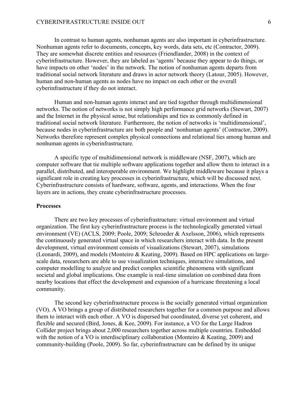#### CYBERINFRASTRUCTURE INSIDE OUT 6

In contrast to human agents, nonhuman agents are also important in cyberinfrastructure. Nonhuman agents refer to documents, concepts, key words, data sets, etc (Contractor, 2009). They are somewhat discrete entities and resources (Friendlander, 2008) in the context of cyberinfrastructure. However, they are labeled as 'agents' because they appear to do things, or have impacts on other 'nodes' in the network. The notion of nonhuman agents departs from traditional social network literature and draws in actor network theory (Latour, 2005). However, human and non-human agents as nodes have no impact on each other or the overall cyberinfrastructure if they do not interact.

Human and non-human agents interact and are tied together through multidimensional networks. The notion of networks is not simply high performance grid networks (Stewart, 2007) and the Internet in the physical sense, but relationships and ties as commonly defined in traditional social network literature. Furthermore, the notion of networks is 'multidimensional', because nodes in cyberinfrastructure are both people and 'nonhuman agents' (Contractor, 2009). Networks therefore represent complex physical connections and relational ties among human and nonhuman agents in cyberinfrastructure.

A specific type of multidimensional network is middleware (NSF, 2007), which are computer software that tie multiple software applications together and allow them to interact in a parallel, distributed, and interoperable environment. We highlight middleware because it plays a significant role in creating key processes in cyberinfrastructure, which will be discussed next. Cyberinfrastructure consists of hardware, software, agents, and interactions. When the four layers are in actions, they create cyberinfrastructure processes.

#### **Processes**

There are two key processes of cyberinfrastructure: virtual environment and virtual organization. The first key cyberinfrastructure process is the technologically generated virtual environment (VE) (ACLS, 2009; Poole, 2009; Schroeder & Axelsson, 2006), which represents the continuously generated virtual space in which researchers interact with data. In the present development, virtual environment consists of visualizations (Stewart, 2007), simulations (Leonardi, 2009), and models (Monteiro & Keating, 2009). Based on HPC applications on largescale data, researchers are able to use visualization techniques, interactive simulations, and computer modelling to analyze and predict complex scientific phenomena with significant societal and global implications. One example is real-time simulation on combined data from nearby locations that effect the development and expansion of a hurricane threatening a local community.

The second key cyberinfrastructure process is the socially generated virtual organization (VO). A VO brings a group of distributed researchers together for a common purpose and allows them to interact with each other. A VO is dispersed but coordinated, diverse yet coherent, and flexible and secured (Bird, Jones, & Kee, 2009). For instance, a VO for the Large Hadron Collider project brings about 2,000 researchers together across multiple countries. Embedded with the notion of a VO is interdisciplinary collaboration (Monteiro & Keating, 2009) and community-building (Poole, 2009). So far, cyberinfrastructure can be defined by its unique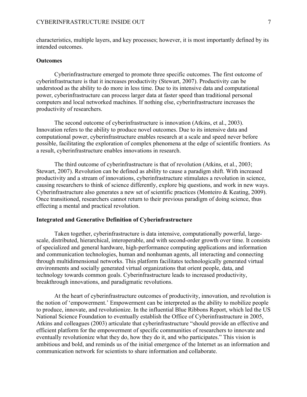characteristics, multiple layers, and key processes; however, it is most importantly defined by its intended outcomes.

#### **Outcomes**

Cyberinfrastructure emerged to promote three specific outcomes. The first outcome of cyberinfrastructure is that it increases productivity (Stewart, 2007). Productivity can be understood as the ability to do more in less time. Due to its intensive data and computational power, cyberinfrastructure can process larger data at faster speed than traditional personal computers and local networked machines. If nothing else, cyberinfrastructure increases the productivity of researchers.

The second outcome of cyberinfrastructure is innovation (Atkins, et al., 2003). Innovation refers to the ability to produce novel outcomes. Due to its intensive data and computational power, cyberinfrastructure enables research at a scale and speed never before possible, facilitating the exploration of complex phenomena at the edge of scientific frontiers. As a result, cyberinfrastructure enables innovations in research.

The third outcome of cyberinfrastructure is that of revolution (Atkins, et al., 2003; Stewart, 2007). Revolution can be defined as ability to cause a paradigm shift. With increased productivity and a stream of innovations, cyberinfrastructure stimulates a revolution in science, causing researchers to think of science differently, explore big questions, and work in new ways. Cyberinfrastructure also generates a new set of scientific practices (Monteiro & Keating, 2009). Once transitioned, researchers cannot return to their previous paradigm of doing science, thus effecting a mental and practical revolution.

#### **Integrated and Generative Definition of Cyberinfrastructure**

Taken together, cyberinfrastructure is data intensive, computationally powerful, largescale, distributed, hierarchical, interoperable, and with second-order growth over time. It consists of specialized and general hardware, high-performance computing applications and information and communication technologies, human and nonhuman agents, all interacting and connecting through multidimensional networks. This platform facilitates technologically generated virtual environments and socially generated virtual organizations that orient people, data, and technology towards common goals. Cyberinfrastructure leads to increased productivity, breakthrough innovations, and paradigmatic revolutions.

At the heart of cyberinfrastructure outcomes of productivity, innovation, and revolution is the notion of 'empowerment.' Empowerment can be interpreted as the ability to mobilize people to produce, innovate, and revolutionize. In the influential Blue Ribbons Report, which led the US National Science Foundation to eventually establish the Office of Cyberinfrastructure in 2005, Atkins and colleagues (2003) articulate that cyberinfrastructure "should provide an effective and efficient platform for the empowerment of specific communities of researchers to innovate and eventually revolutionize what they do, how they do it, and who participates." This vision is ambitious and bold, and reminds us of the initial emergence of the Internet as an information and communication network for scientists to share information and collaborate.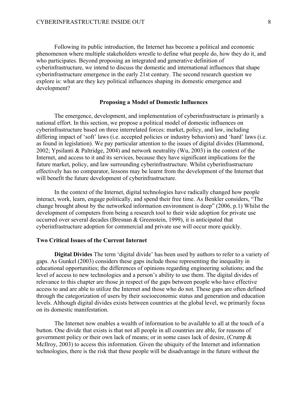Following its public introduction, the Internet has become a political and economic phenomenon where multiple stakeholders wrestle to define what people do, how they do it, and who participates. Beyond proposing an integrated and generative definition of cyberinfrastructure, we intend to discuss the domestic and international influences that shape cyberinfrastructure emergence in the early 21st century. The second research question we explore is: what are they key political influences shaping its domestic emergence and development?

#### **Proposing a Model of Domestic Influences**

The emergence, development, and implementation of cyberinfrastructure is primarily a national effort. In this section, we propose a political model of domestic influences on cyberinfrastructure based on three interrelated forces: market, policy, and law, including differing impact of 'soft' laws (i.e. accepted policies or industry behaviors) and 'hard' laws (i.e. as found in legislation). We pay particular attention to the issues of digital divides (Hammond, 2002; Ypsilanti & Paltridge, 2004) and network neutrality (Wu, 2003) in the context of the Internet, and access to it and its services, because they have significant implications for the future market, policy, and law surrounding cyberinfrastructure. Whilst cyberinfrastructure effectively has no comparator, lessons may be learnt from the development of the Internet that will benefit the future development of cyberinfrastructure.

In the context of the Internet, digital technologies have radically changed how people interact, work, learn, engage politically, and spend their free time. As Benkler considers, "The change brought about by the networked information environment is deep" (2006, p.1) Whilst the development of computers from being a research tool to their wide adoption for private use occurred over several decades (Bresnan & Greenstein, 1999), it is anticipated that cyberinfrastructure adoption for commercial and private use will occur more quickly.

# **Two Critical Issues of the Current Internet**

**Digital Divides** The term 'digital divide' has been used by authors to refer to a variety of gaps. As Gunkel (2003) considers these gaps include those representing the inequality in educational opportunities; the differences of opinions regarding engineering solutions; and the level of access to new technologies and a person's ability to use them. The digital divides of relevance to this chapter are those jn respect of the gaps between people who have effective access to and are able to utilize the Internet and those who do not. These gaps are often defined through the categorization of users by their socioeconomic status and generation and education levels. Although digital divides exists between countries at the global level, we primarily focus on its domestic manifestation.

The Internet now enables a wealth of information to be available to all at the touch of a button. One divide that exists is that not all people in all countries are able, for reasons of government policy or their own lack of means; or in some cases lack of desire, (Crump & McIlroy, 2003) to access this information. Given the ubiquity of the Internet and information technologies, there is the risk that these people will be disadvantage in the future without the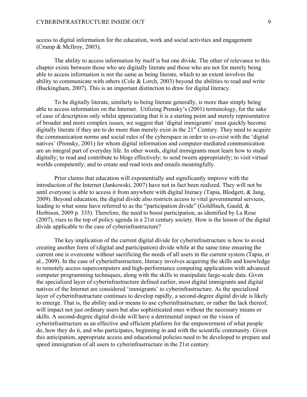access to digital information for the education, work and social activities and engagement (Crump & McIlroy, 2003).

The ability to access information by itself is but one divide. The other of relevance to this chapter exists between those who are digitally literate and those who are not for merely being able to access information is not the same as being literate, which to an extent involves the ability to communicate with others (Cole & Lorch, 2003) beyond the abilities to read and write (Buckingham, 2007). This is an important distinction to draw for digital literacy.

To be digitally literate, similarly to being literate generally, is more than simply being able to access information on the Internet. Utilizing Prensky's (2001) terminology, for the sake of ease of description only whilst appreciating that it is a starting point and merely representative of broader and more complex issues, we suggest that 'digital immigrants' must quickly become digitally literate if they are to do more than merely exist in the 21<sup>st</sup> Century. They need to acquire the communication norms and social rules of the cyberspace in order to co-exist with the 'digital natives' (Prensky, 2001) for whom digital information and computer-mediated communication are an integral part of everyday life. In other words, digital immigrants must learn how to study digitally; to read and contribute to blogs effectively; to send tweets appropriately; to visit virtual worlds competently; and to create and read texts and emails meaningfully.

Prior claims that education will exponentially and significantly improve with the introduction of the Internet (Jankowski, 2007) have not in fact been realized. They will not be until everyone is able to access it from anywhere with digital literacy (Tapia, Blodgett, & Jang, 2009). Beyond education, the digital divide also restricts access to vital governmental services, leading to what some have referred to as the "participation divide" (Goldfinch, Gauld, & Herbison, 2009 p. 335). Therefore, the need to boost participation, as identified by La Rose (2007), rises to the top of policy agenda in a 21st century society. How is the lesson of the digital divide applicable to the case of cyberinfrastructure?

The key implication of the current digital divide for cyberinfrastructure is how to avoid creating another form of (digital and participation) divide while at the same time ensuring the current one is overcome without sacrificing the needs of all users in the current system (Tapia, et al., 2009). In the case of cyberinfrastructure, literacy involves acquiring the skills and knowledge to remotely access supercomputers and high-performance computing applications with advanced computer programming techniques, along with the skills to manipulate large-scale data. Given the specialized layer of cyberinfrastructure defined earlier, most digital immigrants and digital natives of the Internet are considered 'immigrants' to cyberinfrastructure. As the specialized layer of cyberinfrastructure continues to develop rapidly, a second-degree digital divide is likely to emerge. That is, the ability and/or means to use cyberinfrastructure, or rather the lack thereof, will impact not just ordinary users but also sophisticated ones without the necessary means or skills. A second-degree digital divide will have a detrimental impact on the vision of cyberinfrastructure as an effective and efficient platform for the empowerment of what people do, how they do it, and who participates, beginning in and with the scientific community. Given this anticipation, appropriate access and educational policies need to be developed to prepare and speed immigration of all users to cyberinfrastructure in the 21st century.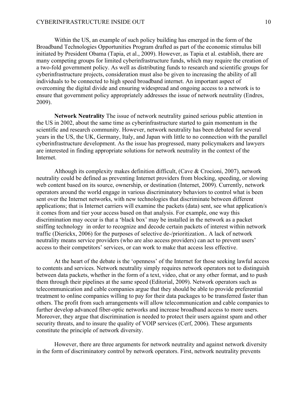Within the US, an example of such policy building has emerged in the form of the Broadband Technologies Opportunities Program drafted as part of the economic stimulus bill initiated by President Obama (Tapia, et al., 2009). However, as Tapia et al. establish, there are many competing groups for limited cyberinfrastructure funds, which may require the creation of a two-fold government policy. As well as distributing funds to research and scientific groups for cyberinfrastructure projects, consideration must also be given to increasing the ability of all individuals to be connected to high speed broadband internet. An important aspect of overcoming the digital divide and ensuring widespread and ongoing access to a network is to ensure that government policy appropriately addresses the issue of network neutrality (Endres, 2009).

**Network Neutrality** The issue of network neutrality gained serious public attention in the US in 2002, about the same time as cyberinfrastructure started to gain momentum in the scientific and research community. However, network neutrality has been debated for several years in the US, the UK, Germany, Italy, and Japan with little to no connection with the parallel cyberinfrastructure development. As the issue has progressed, many policymakers and lawyers are interested in finding appropriate solutions for network neutrality in the context of the Internet.

Although its complexity makes definition difficult, (Cave & Crocioni, 2007), network neutrality could be defined as preventing Internet providers from blocking, speeding, or slowing web content based on its source, ownership, or destination (Internet, 2009). Currently, network operators around the world engage in various discriminatory behaviors to control what is been sent over the Internet networks, with new technologies that discriminate between different applications; that is Internet carriers will examine the packets (data) sent, see what application/s it comes from and tier your access based on that analysis. For example, one way this discrimination may occur is that a 'black box' may be installed in the network as a packet sniffing technology in order to recognize and decode certain packets of interest within network traffic (Dierickx, 2006) for the purposes of selective de-/prioritization.. A lack of network neutrality means service providers (who are also access providers) can act to prevent users' access to their competitors' services, or can work to make that access less effective.

At the heart of the debate is the 'openness' of the Internet for those seeking lawful access to contents and services. Network neutrality simply requires network operators not to distinguish between data packets, whether in the form of a text, video, chat or any other format, and to push them through their pipelines at the same speed (Editorial, 2009). Network operators such as telecommunication and cable companies argue that they should be able to provide preferential treatment to online companies willing to pay for their data packages to be transferred faster than others. The profit from such arrangements will allow telecommunication and cable companies to further develop advanced fiber-optic networks and increase broadband access to more users. Moreover, they argue that discrimination is needed to protect their users against spam and other security threats, and to insure the quality of VOIP services (Cerf, 2006). These arguments constitute the principle of network diversity.

However, there are three arguments for network neutrality and against network diversity in the form of discriminatory control by network operators. First, network neutrality prevents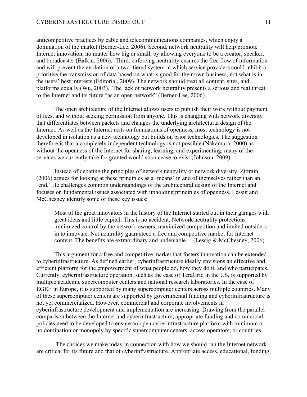anticompetitive practices by cable and telecommunications companies, which enjoy a domination of the market (Berner-Lee, 2006). Second, network neutrality will help promote Internet innovation, no matter how big or small, by allowing everyone to be a creator, speaker, and broadcaster (Balkin, 2006). Third, enforcing neutrality ensures the free flow of information and will prevent the evolution of a two–tiered system in which service providers could inhibit or prioritise the transmission of data based on what is good for their own business, not what is in the users' best interests (Editorial, 2009). The network should treat all content, sites, and platforms equally (Wu, 2003). The lack of network neutrality presents a serious and real threat to the Internet and its future "as an open network" (Berner-Lee, 2006).

The open architecture of the Internet allows users to publish their work without payment of fees, and without seeking permission from anyone. This is changing with network diversity that differentiates between packets and changes the underlying architectural design of the Internet. As well as the Internet rests on foundations of openness, most technology is not developed in isolation as a new technology but builds on prior technologies. The suggestion therefore is that a completely independent technology is not possible (Nakamura, 2000) as without the openness of the Internet for sharing, learning, and experimenting, many of the services we currently take for granted would soon cease to exist (Johnson, 2009).

Instead of debating the principles of network neutrality or network diversity, Zittrain (2006) argues for looking at these principles as a 'means' in and of themselves rather than an 'end.' He challenges common understandings of the architectural design of the Internet and focuses on fundamental issues associated with upholding principles of openness. Lessig and McChesney identify some of these key issues:

Most of the great innovators in the history of the Internet started out in their garages with great ideas and little capital. This is no accident. Network neutrality protections minimized control by the network owners, maximized competition and invited outsiders in to innovate. Net neutrality guaranteed a free and competitive market for Internet content. The benefits are extraordinary and undeniable… (Lessig & McChesney, 2006)

This argument for a free and competitive market that fosters innovation can be extended to cyberinfrastructure. As defined earlier, cyberinfrastructure ideally envisions an effective and efficient platform for the empowerment of what people do, how they do it, and who participates. Currently, cyberinfrastructure operation, such as the case of TeraGrid in the US, is supported by multiple academic supercomputer centers and national research laboratories. In the case of EGEE in Europe, it is supported by many supercomputer centers across multiple countries. Many of these supercomputer centers are supported by governmental funding and cyberinfrastructure is not yet commercialized. However, commercial and corporate involvements in cyberinfrastructure development and implementation are increasing. Drawing from the parallel comparison between the Internet and cyberinfrastructure, appropriate funding and commercial policies need to be developed to ensure an open cyberinfrastructure platform with minimum or no domination or monopoly by specific supercomputer centers, access operators, or countries.

The choices we make today in connection with how we should run the Internet network are critical for its future and that of cyberinfrastructure. Appropriate access, educational, funding,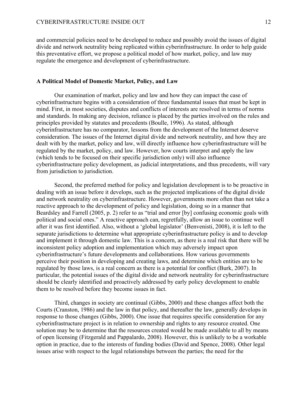and commercial policies need to be developed to reduce and possibly avoid the issues of digital divide and network neutrality being replicated within cyberinfrastructure. In order to help guide this preventative effort, we propose a political model of how market, policy, and law may regulate the emergence and development of cyberinfrastructure.

#### **A Political Model of Domestic Market, Policy, and Law**

Our examination of market, policy and law and how they can impact the case of cyberinfrastructure begins with a consideration of three fundamental issues that must be kept in mind. First, in most societies, disputes and conflicts of interests are resolved in terms of norms and standards. In making any decision, reliance is placed by the parties involved on the rules and principles provided by statutes and precedents (Boulle, 1996). As stated, although cyberinfrastructure has no comparator, lessons from the development of the Internet deserve consideration. The issues of the Internet digital divide and network neutrality, and how they are dealt with by the market, policy and law, will directly influence how cyberinfrastructure will be regulated by the market, policy, and law. However, how courts interpret and apply the law (which tends to be focused on their specific jurisdiction only) will also influence cyberinfrastructure policy development, as judicial interpretations, and thus precedents, will vary from jurisdiction to jurisdiction.

Second, the preferred method for policy and legislation development is to be proactive in dealing with an issue before it develops, such as the projected implications of the digital divide and network neutrality on cyberinfrastructure. However, governments more often than not take a reactive approach to the development of policy and legislation, doing so in a manner that Beardsley and Farrell (2005, p. 2) refer to as "trial and error [by] confusing economic goals with political and social ones." A reactive approach can, regretfully, allow an issue to continue well after it was first identified. Also, without a 'global legislator' (Benvenisti, 2008), it is left to the separate jurisdictions to determine what appropriate cyberinfrastructure policy is and to develop and implement it through domestic law. This is a concern, as there is a real risk that there will be inconsistent policy adoption and implementation which may adversely impact upon cyberinfrastructure's future developments and collaborations. How various governments perceive their position in developing and creating laws, and determine which entities are to be regulated by those laws, is a real concern as there is a potential for conflict (Burk, 2007). In particular, the potential issues of the digital divide and network neutrality for cyberinfrastructure should be clearly identified and proactively addressed by early policy development to enable them to be resolved before they become issues in fact.

Third, changes in society are continual (Gibbs, 2000) and these changes affect both the Courts (Cranston, 1986) and the law in that policy, and thereafter the law, generally develops in response to those changes (Gibbs, 2000). One issue that requires specific consideration for any cyberinfrastructure project is in relation to ownership and rights to any resource created. One solution may be to determine that the resources created would be made available to all by means of open licensing (Fitzgerald and Pappalardo, 2008). However, this is unlikely to be a workable option in practice, due to the interests of funding bodies (David and Spence, 2008). Other legal issues arise with respect to the legal relationships between the parties; the need for the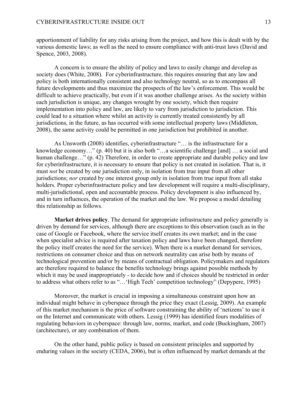apportionment of liability for any risks arising from the project, and how this is dealt with by the various domestic laws; as well as the need to ensure compliance with anti-trust laws (David and Spence, 2003, 2008).

A concern is to ensure the ability of policy and laws to easily change and develop as society does (White, 2008). For cyberinfrastructure, this requires ensuring that any law and policy is both internationally consistent and also technology neutral, so as to encompass all future developments and thus maximize the prospects of the law's enforcement. This would be difficult to achieve practically, but even if it was another challenge arises. As the society within each jurisdiction is unique, any changes wrought by one society, which then require implementation into policy and law, are likely to vary from jurisdiction to jurisdiction. This could lead to a situation where whilst an activity is currently treated consistently by all jurisdictions, in the future, as has occurred with some intellectual property laws (Middleton, 2008), the same activity could be permitted in one jurisdiction but prohibited in another.

As Unsworth (2008) identifies, cyberinfrastructure "… is the infrastructure for a knowledge economy…" (p. 40) but it is also both "…a scientific challenge [and] … a social and human challenge..." (p. 42) Therefore, in order to create appropriate and durable policy and law for cyberinfrastructure, it is necessary to ensure that policy is not created in isolation. That is, it must *not* be created by one jurisdiction only, in isolation from true input from all other jurisdictions; *nor* created by one interest group only in isolation from true input from all stake holders. Proper cyberinfrastructure policy and law development will require a multi-disciplinary, multi-jurisdictional, open and accountable process. Policy development is also influenced by, and in turn influences, the operation of the market and the law. We propose a model detailing this relationship as follows.

**Market drives policy**. The demand for appropriate infrastructure and policy generally is driven by demand for services, although there are exceptions to this observation (such as in the case of Google or Facebook, where the service itself creates its own market; and in the case when specialist advice is required after taxation policy and laws have been changed, therefore the policy itself creates the need for the service). When there is a market demand for services, restrictions on consumer choice and thus on network neutrality can arise both by means of technological prevention and/or by means of contractual obligation. Policymakers and regulators are therefore required to balance the benefits technology brings against possible methods by which it may be used inappropriately - to decide how and if choices should be restricted in order to address what others refer to as "…'High Tech' competition technology" (Depypere, 1995)

Moreover, the market is crucial in imposing a simultaneous constraint upon how an individual might behave in cyberspace through the price they exact (Lessig, 2009). An example of this market mechanism is the price of software constraining the ability of 'netizens' to use it on the Internet and communicate with others. Lessig (1999) has identified fours modalities of regulating behaviors in cyberspace: through law, norms, market, and code (Buckingham, 2007) (architecture), or any combination of them.

On the other hand, public policy is based on consistent principles and supported by enduring values in the society (CEDA, 2006), but is often influenced by market demands at the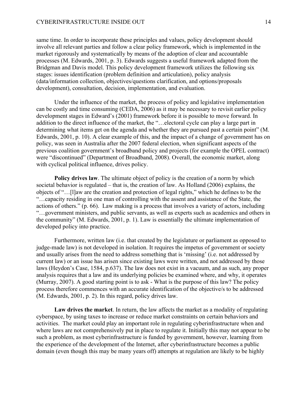#### CYBERINFRASTRUCTURE INSIDE OUT 14

same time. In order to incorporate these principles and values, policy development should involve all relevant parties and follow a clear policy framework, which is implemented in the market rigorously and systematically by means of the adoption of clear and accountable processes (M. Edwards, 2001, p. 3). Edwards suggests a useful framework adapted from the Bridgman and Davis model. This policy development framework utilizes the following six stages: issues identification (problem definition and articulation), policy analysis (data/information collection, objectives/questions clarification, and options/proposals development), consultation, decision, implementation, and evaluation.

Under the influence of the market, the process of policy and legislative implementation can be costly and time consuming (CEDA, 2006) as it may be necessary to revisit earlier policy development stages in Edward's (2001) framework before it is possible to move forward. In addition to the direct influence of the market, the "…electoral cycle can play a large part in determining what items get on the agenda and whether they are pursued past a certain point" (M. Edwards, 2001, p. 10). A clear example of this, and the impact of a change of government has on policy, was seen in Australia after the 2007 federal election, when significant aspects of the previous coalition government's broadband policy and projects (for example the OPEL contract) were "discontinued" (Department of Broadband, 2008). Overall, the economic market, along with cyclical political influence, drives policy.

**Policy drives law**. The ultimate object of policy is the creation of a norm by which societal behavior is regulated – that is, the creation of law. As Holland (2006) explains, the objects of "…[l]aw are the creation and protection of legal rights," which he defines to be the "…capacity residing in one man of controlling with the assent and assistance of the State, the actions of others." (p. 66). Law making is a process that involves a variety of actors, including "…government ministers, and public servants, as well as experts such as academics and others in the community" (M. Edwards, 2001, p. 1). Law is essentially the ultimate implementation of developed policy into practice.

Furthermore, written law (i.e. that created by the legislature or parliament as opposed to judge-made law) is not developed in isolation. It requires the impetus of government or society and usually arises from the need to address something that is 'missing' (i.e. not addressed by current law) or an issue has arisen since existing laws were written, and not addressed by those laws (Heydon's Case, 1584, p.637). The law does not exist in a vacuum, and as such, any proper analysis requires that a law and its underlying policies be examined where, and why, it operates (Murray, 2007). A good starting point is to ask - What is the purpose of this law? The policy process therefore commences with an accurate identification of the objective/s to be addressed (M. Edwards, 2001, p. 2). In this regard, policy drives law.

**Law drives the market**. In return, the law affects the market as a modality of regulating cyberspace, by using taxes to increase or reduce market constraints on certain behaviors and activities. The market could play an important role in regulating cyberinfrastructure when and where laws are not comprehensively put in place to regulate it. Initially this may not appear to be such a problem, as most cyberinfrastructure is funded by government, however, learning from the experience of the development of the Internet, after cyberinfrastructure becomes a public domain (even though this may be many years off) attempts at regulation are likely to be highly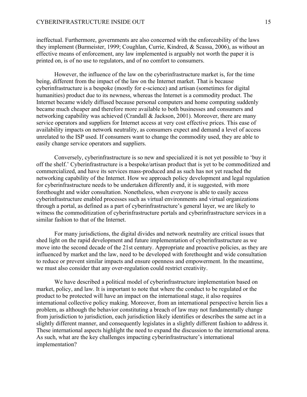ineffectual. Furthermore, governments are also concerned with the enforceability of the laws they implement (Burmeister, 1999; Coughlan, Currie, Kindred, & Scassa, 2006), as without an effective means of enforcement, any law implemented is arguably not worth the paper it is printed on, is of no use to regulators, and of no comfort to consumers.

However, the influence of the law on the cyberinfrastructure market is, for the time being, different from the impact of the law on the Internet market. That is because cyberinfrastructure is a bespoke (mostly for e-science) and artisan (sometimes for digital humanities) product due to its newness, whereas the Internet is a commodity product. The Internet became widely diffused because personal computers and home computing suddenly became much cheaper and therefore more available to both businesses and consumers and networking capability was achieved (Crandall & Jackson, 2001). Moreover, there are many service operators and suppliers for Internet access at very cost effective prices. This ease of availability impacts on network neutrality, as consumers expect and demand a level of access unrelated to the ISP used. If consumers want to change the commodity used, they are able to easily change service operators and suppliers.

Conversely, cyberinfrastructure is so new and specialized it is not yet possible to 'buy it off the shelf.' Cyberinfrastructure is a bespoke/artisan product that is yet to be commoditized and commercialized, and have its services mass-produced and as such has not yet reached the networking capability of the Internet. How we approach policy development and legal regulation for cyberinfrastructure needs to be undertaken differently and, it is suggested, with more forethought and wider consultation. Nonetheless, when everyone is able to easily access cyberinfrastructure enabled processes such as virtual environments and virtual organizations through a portal, as defined as a part of cyberinfrastructure's general layer, we are likely to witness the commoditization of cyberinfrastructure portals and cyberinfrastructure services in a similar fashion to that of the Internet.

For many jurisdictions, the digital divides and network neutrality are critical issues that shed light on the rapid development and future implementation of cyberinfrastructure as we move into the second decade of the 21st century. Appropriate and proactive policies, as they are influenced by market and the law, need to be developed with forethought and wide consultation to reduce or prevent similar impacts and ensure openness and empowerment. In the meantime, we must also consider that any over-regulation could restrict creativity.

We have described a political model of cyberinfrastructure implementation based on market, policy, and law. It is important to note that where the conduct to be regulated or the product to be protected will have an impact on the international stage, it also requires international collective policy making. Moreover, from an international perspective herein lies a problem, as although the behavior constituting a breach of law may not fundamentally change from jurisdiction to jurisdiction, each jurisdiction likely identifies or describes the same act in a slightly different manner, and consequently legislates in a slightly different fashion to address it. These international aspects highlight the need to expand the discussion to the international arena. As such, what are the key challenges impacting cyberinfrastructure's international implementation?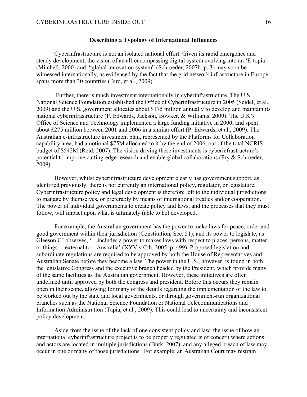#### **Describing a Typology of International Influences**

Cyberinfrastructure is not an isolated national effort. Given its rapid emergence and steady development, the vision of an all-encompassing digital system evolving into an 'E-topia' (Mitchell, 2000) and "global innovation system" (Schroeder, 2007b, p. 3) may soon be witnessed internationally, as evidenced by the fact that the grid network infrastructure in Europe spans more than 30 countries (Bird, et al., 2009).

Further, there is much investment internationally in cyberinfrastructure. The U.S. National Science Foundation established the Office of Cyberinfrastructure in 2005 (Seidel, et al., 2009) and the U.S. government allocates about \$175 million annually to develop and maintain its national cyberinfrastructure (P. Edwards, Jackson, Bowker, & Williams, 2009). The U.K's Office of Science and Technology implemented a large funding initiative in 2000, and spent about £275 million between 2001 and 2006 in a similar effort (P. Edwards, et al., 2009). The Australian e-infrastructure investment plan, represented by the Platforms for Collaboration capability area, had a notional \$75M allocated to it by the end of 2006, out of the total NCRIS budget of \$542M (Reid, 2007). The vision driving these investments is cyberinfrastructure's potential to improve cutting-edge research and enable global collaborations (Fry & Schroeder, 2009).

However, whilst cyberinfrastructure development clearly has government support, as identified previously, there is not currently an international policy, regulator, or legislature. Cyberinfrastructure policy and legal development is therefore left to the individual jurisdictions to manage by themselves, or preferably by means of international treaties and/or cooperation. The power of individual governments to create policy and laws, and the processes that they must follow, will impact upon what is ultimately (able to be) developed.

For example, the Australian government has the power to make laws for peace, order and good government within their jurisdiction (Constitution, Sec. 51), and its power to legislate, as Gleeson CJ observes, '…includes a power to makes laws with respect to places, persons, matter or things …external to – Australia' (XYV v Cth, 2005, p. 499). Proposed legislation and subordinate regulations are required to be approved by both the House of Representatives and Australian Senate before they become a law. The power in the U.S., however, is found in both the legislative Congress and the executive branch headed by the President, which provide many of the same facilities as the Australian government. However, these initiatives are often undefined until approved by both the congress and president. Before this occurs they remain open in their scope, allowing for many of the details regarding the implementation of the law to be worked out by the state and local governments, or through government-run organizational branches such as the National Science Foundation or National Telecommunications and Information Administration (Tapia, et al., 2009). This could lead to uncertainty and inconsistent policy development.

Aside from the issue of the lack of one consistent policy and law, the issue of how an international cyberinfrastructure project is to be properly regulated is of concern where actions and actors are located in multiple jurisdictions (Burk, 2007), and any alleged breach of law may occur in one or many of those jurisdictions. For example, an Australian Court may restrain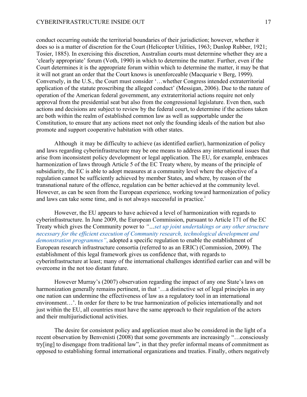conduct occurring outside the territorial boundaries of their jurisdiction; however, whether it does so is a matter of discretion for the Court (Helicopter Utilities, 1963; Dunlop Rubber, 1921; Tosier, 1885). In exercising this discretion, Australian courts must determine whether they are a 'clearly appropriate' forum (Voth, 1990) in which to determine the matter. Further, even if the Court determines it is the appropriate forum within which to determine the matter, it may be that it will not grant an order that the Court knows is unenforceable (Macquarie v Berg, 1999). Conversely, in the U.S., the Court must consider '…whether Congress intended extraterritorial application of the statute proscribing the alleged conduct' (Messigan, 2006). Due to the nature of operation of the American federal government, any extraterritorial actions require not only approval from the presidential seat but also from the congressional legislature. Even then, such actions and decisions are subject to review by the federal court, to determine if the actions taken are both within the realm of established common law as well as supportable under the Constitution, to ensure that any actions meet not only the founding ideals of the nation but also promote and support cooperative habitation with other states.

Although it may be difficulty to achieve (as identified earlier), harmonization of policy and laws regarding cyberinfrastructure may be one means to address any international issues that arise from inconsistent policy development or legal application. The EU, for example, embraces harmonization of laws through Article 5 of the EC Treaty where, by means of the principle of subsidiarity, the EC is able to adopt measures at a community level where the objective of a regulation cannot be sufficiently achieved by member States, and where, by reason of the transnational nature of the offence, regulation can be better achieved at the community level. However, as can be seen from the European experience, working toward harmonization of policy and laws can take some time, and is not always successful in practice.<sup> $\frac{1}{1}$ </sup>

However, the EU appears to have achieved a level of harmonization with regards to cyberinfrastructure. In June 2009, the European Commission, pursuant to Article 171 of the EC Treaty which gives the Community power to *"…set up joint undertakings or any other structure necessary for the efficient execution of Community research, technological development and demonstration programmes"*, adopted a specific regulation to enable the establishment of European research infrastructure consortia (referred to as an ERIC) (Commission, 2009). The establishment of this legal framework gives us confidence that, with regards to cyberinfrastructure at least; many of the international challenges identified earlier can and will be overcome in the not too distant future.

However Murray's (2007) observation regarding the impact of any one State's laws on harmonization generally remains pertinent, in that '...a distinctive set of legal principles in any one nation can undermine the effectiveness of law as a regulatory tool in an international environment…'. In order for there to be true harmonization of policies internationally and not just within the EU, all countries must have the same approach to their regulation of the actors and their multijurisdictional activities.

The desire for consistent policy and application must also be considered in the light of a recent observation by Benvenisti (2008) that some governments are increasingly "…consciously try[ing] to disengage from traditional law", in that they prefer informal means of commitment as opposed to establishing formal international organizations and treaties. Finally, others negatively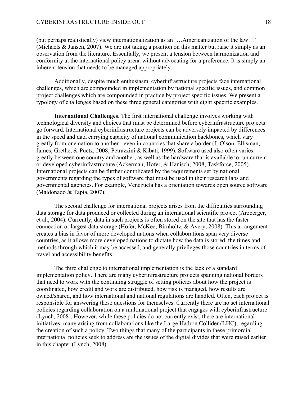(but perhaps realistically) view internationalization as an '…Americanization of the law…' (Michaels & Jansen, 2007). We are not taking a position on this matter but raise it simply as an observation from the literature. Essentially, we present a tension between harmonization and conformity at the international policy arena without advocating for a preference. It is simply an inherent tension that needs to be managed appropriately.

Additionally, despite much enthusiasm, cyberinfrastructure projects face international challenges, which are compounded in implementation by national specific issues, and common project challenges which are compounded in practice by project specific issues. We present a typology of challenges based on these three general categories with eight specific examples.

**International Challenges**. The first international challenge involves working with technological diversity and choices that must be determined before cyberinfrastructure projects go forward. International cyberinfrastructure projects can be adversely impacted by differences in the speed and data carrying capacity of national communication backbones, which vary greatly from one nation to another - even in countries that share a border (J. Olson, Ellisman, James, Grethe, & Puetz, 2008; Petrazzini & Kibati, 1999). Software used also often varies greatly between one country and another, as well as the hardware that is available to run current or developed cyberinfrastructure (Ackerman, Hofer, & Hanisch, 2008; Taskforce, 2005). International projects can be further complicated by the requirements set by national governments regarding the types of software that must be used in their research labs and governmental agencies. For example, Venezuela has a orientation towards open source software (Maldonado & Tapia, 2007).

The second challenge for international projects arises from the difficulties surrounding data storage for data produced or collected during an international scientific project (Arzberger, et al., 2004). Currently, data in such projects is often stored on the site that has the faster connection or largest data storage (Hofer, McKee, Birnholtz, & Avery, 2008). This arrangement creates a bias in favor of more developed nations when collaborations span very diverse countries, as it allows more developed nations to dictate how the data is stored, the times and methods through which it may be accessed, and generally privileges those countries in terms of travel and accessibility benefits.

The third challenge to international implementation is the lack of a standard implementation policy. There are many cyberinfrastructure projects spanning national borders that need to work with the continuing struggle of setting policies about how the project is coordinated, how credit and work are distributed, how risk is managed, how results are owned/shared, and how international and national regulations are handled. Often, each project is responsible for answering these questions for themselves. Currently there are no set international policies regarding collaboration on a multinational project that engages with cyberinfrastructure (Lynch, 2008). However, while these policies do not currently exist, there are international initiatives, many arising from collaborations like the Large Hadron Collider (LHC), regarding the creation of such a policy. Two things that many of the participants in these primordial international policies seek to address are the issues of the digital divides that were raised earlier in this chapter (Lynch, 2008).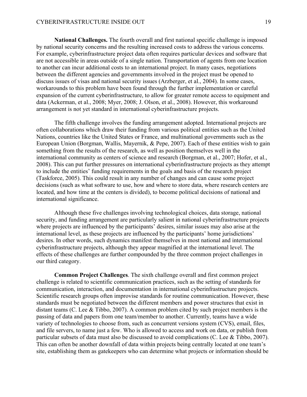**National Challenges.** The fourth overall and first national specific challenge is imposed by national security concerns and the resulting increased costs to address the various concerns. For example, cyberinfrastructure project data often requires particular devices and software that are not accessible in areas outside of a single nation. Transportation of agents from one location to another can incur additional costs to an international project. In many cases, negotiations between the different agencies and governments involved in the project must be opened to discuss issues of visas and national security issues (Arzberger, et al., 2004). In some cases, workarounds to this problem have been found through the further implementation or careful expansion of the current cyberinfrastructure, to allow for greater remote access to equipment and data (Ackerman, et al., 2008; Myer, 2008; J. Olson, et al., 2008). However, this workaround arrangement is not yet standard in international cyberinfrastructure projects.

The fifth challenge involves the funding arrangement adopted. International projects are often collaborations which draw their funding from various political entities such as the United Nations, countries like the United States or France, and multinational governments such as the European Union (Borgman, Wallis, Mayernik, & Pepe, 2007). Each of these entities wish to gain something from the results of the research, as well as position themselves well in the international community as centers of science and research (Borgman, et al., 2007; Hofer, et al., 2008). This can put further pressures on international cyberinfrastructure projects as they attempt to include the entities' funding requirements in the goals and basis of the research project (Taskforce, 2005). This could result in any number of changes and can cause some project decisions (such as what software to use, how and where to store data, where research centers are located, and how time at the centers is divided), to become political decisions of national and international significance.

Although these five challenges involving technological choices, data storage, national security, and funding arrangement are particularly salient in national cyberinfrastructure projects where projects are influenced by the participants' desires, similar issues may also arise at the international level, as these projects are influenced by the participants' home jurisdictions' desires. In other words, such dynamics manifest themselves in most national and international cyberinfrastructure projects, although they appear magnified at the international level. The effects of these challenges are further compounded by the three common project challenges in our third category.

**Common Project Challenges**. The sixth challenge overall and first common project challenge is related to scientific communication practices, such as the setting of standards for communication, interaction, and documentation in international cyberinfrastructure projects. Scientific research groups often improvise standards for routine communication. However, these standards must be negotiated between the different members and power structures that exist in distant teams (C. Lee & Tibbo, 2007). A common problem cited by such project members is the passing of data and papers from one team/member to another. Currently, teams have a wide variety of technologies to choose from, such as concurrent versions system (CVS), email, files, and file servers, to name just a few. Who is allowed to access and work on data, or publish from particular subsets of data must also be discussed to avoid complications (C. Lee & Tibbo, 2007). This can often be another downfall of data within projects being centrally located at one team's site, establishing them as gatekeepers who can determine what projects or information should be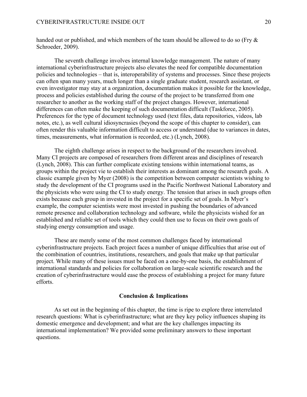handed out or published, and which members of the team should be allowed to do so (Fry  $\&$ Schroeder, 2009).

The seventh challenge involves internal knowledge management. The nature of many international cyberinfrastructure projects also elevates the need for compatible documentation policies and technologies – that is, interoperability of systems and processes. Since these projects can often span many years, much longer than a single graduate student, research assistant, or even investigator may stay at a organization, documentation makes it possible for the knowledge, process and policies established during the course of the project to be transferred from one researcher to another as the working staff of the project changes. However, international differences can often make the keeping of such documentation difficult (Taskforce, 2005). Preferences for the type of document technology used (text files, data repositories, videos, lab notes, etc.), as well cultural idiosyncrasies (beyond the scope of this chapter to consider), can often render this valuable information difficult to access or understand (due to variances in dates, times, measurements, what information is recorded, etc.) (Lynch, 2008).

The eighth challenge arises in respect to the background of the researchers involved. Many CI projects are composed of researchers from different areas and disciplines of research (Lynch, 2008). This can further complicate existing tensions within international teams, as groups within the project vie to establish their interests as dominant among the research goals. A classic example given by Myer (2008) is the competition between computer scientists wishing to study the development of the CI programs used in the Pacific Northwest National Laboratory and the physicists who were using the CI to study energy. The tension that arises in such groups often exists because each group in invested in the project for a specific set of goals. In Myer's example, the computer scientists were most invested in pushing the boundaries of advanced remote presence and collaboration technology and software, while the physicists wished for an established and reliable set of tools which they could then use to focus on their own goals of studying energy consumption and usage.

These are merely some of the most common challenges faced by international cyberinfrastructure projects. Each project faces a number of unique difficulties that arise out of the combination of countries, institutions, researchers, and goals that make up that particular project. While many of these issues must be faced on a one-by-one basis, the establishment of international standards and policies for collaboration on large-scale scientific research and the creation of cyberinfrastructure would ease the process of establishing a project for many future efforts.

#### **Conclusion & Implications**

As set out in the beginning of this chapter, the time is ripe to explore three interrelated research questions: What is cyberinfrastructure; what are they key policy influences shaping its domestic emergence and development; and what are the key challenges impacting its international implementation? We provided some preliminary answers to these important questions.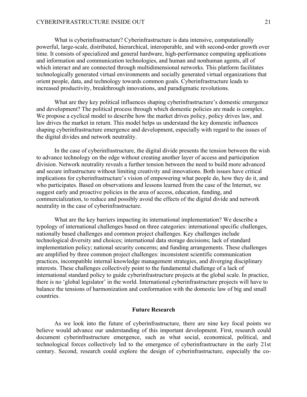What is cyberinfrastructure? Cyberinfrastructure is data intensive, computationally powerful, large-scale, distributed, hierarchical, interoperable, and with second-order growth over time. It consists of specialized and general hardware, high-performance computing applications and information and communication technologies, and human and nonhuman agents, all of which interact and are connected through multidimensional networks. This platform facilitates technologically generated virtual environments and socially generated virtual organizations that orient people, data, and technology towards common goals. Cyberinfrastructure leads to increased productivity, breakthrough innovations, and paradigmatic revolutions.

What are they key political influences shaping cyberinfrastructure's domestic emergence and development? The political process through which domestic policies are made is complex. We propose a cyclical model to describe how the market drives policy, policy drives law, and law drives the market in return. This model helps us understand the key domestic influences shaping cyberinfrastructure emergence and development, especially with regard to the issues of the digital divides and network neutrality.

In the case of cyberinfrastructure, the digital divide presents the tension between the wish to advance technology on the edge without creating another layer of access and participation division. Network neutrality reveals a further tension between the need to build more advanced and secure infrastructure without limiting creativity and innovations. Both issues have critical implications for cyberinfrastructure's vision of empowering what people do, how they do it, and who participates. Based on observations and lessons learned from the case of the Internet, we suggest early and proactive policies in the area of access, education, funding, and commercialization, to reduce and possibly avoid the effects of the digital divide and network neutrality in the case of cyberinfrastructure.

What are the key barriers impacting its international implementation? We describe a typology of international challenges based on three categories: international specific challenges, nationally based challenges and common project challenges. Key challenges include technological diversity and choices; international data storage decisions; lack of standard implementation policy; national security concerns; and funding arrangements. These challenges are amplified by three common project challenges: inconsistent scientific communication practices, incompatible internal knowledge management strategies, and diverging disciplinary interests. These challenges collectively point to the fundamental challenge of a lack of international standard policy to guide cyberinfrastructure projects at the global scale. In practice, there is no 'global legislator' in the world. International cyberinfrastructure projects will have to balance the tensions of harmonization and conformation with the domestic law of big and small countries.

#### **Future Research**

As we look into the future of cyberinfrastructure, there are nine key focal points we believe would advance our understanding of this important development. First, research could document cyberinfrastructure emergence, such as what social, economical, political, and technological forces collectively led to the emergence of cyberinfrastructure in the early 21st century. Second, research could explore the design of cyberinfrastructure, especially the co-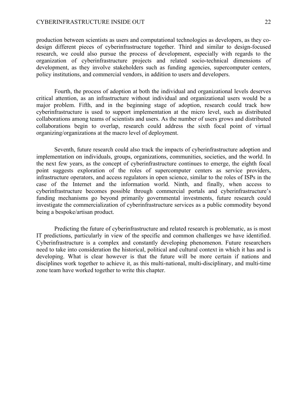production between scientists as users and computational technologies as developers, as they codesign different pieces of cyberinfrastructure together. Third and similar to design-focused research, we could also pursue the process of development, especially with regards to the organization of cyberinfrastructure projects and related socio-technical dimensions of development, as they involve stakeholders such as funding agencies, supercomputer centers, policy institutions, and commercial vendors, in addition to users and developers.

Fourth, the process of adoption at both the individual and organizational levels deserves critical attention, as an infrastructure without individual and organizational users would be a major problem. Fifth, and in the beginning stage of adoption, research could track how cyberinfrastructure is used to support implementation at the micro level, such as distributed collaborations among teams of scientists and users. As the number of users grows and distributed collaborations begin to overlap, research could address the sixth focal point of virtual organizing/organizations at the macro level of deployment.

Seventh, future research could also track the impacts of cyberinfrastructure adoption and implementation on individuals, groups, organizations, communities, societies, and the world. In the next few years, as the concept of cyberinfrastructure continues to emerge, the eighth focal point suggests exploration of the roles of supercomputer centers as service providers, infrastructure operators, and access regulators in open science, similar to the roles of ISPs in the case of the Internet and the information world. Ninth, and finally, when access to cyberinfrastructure becomes possible through commercial portals and cyberinfrastructure's funding mechanisms go beyond primarily governmental investments, future research could investigate the commercialization of cyberinfrastructure services as a public commodity beyond being a bespoke/artisan product.

Predicting the future of cyberinfrastructure and related research is problematic, as is most IT predictions, particularly in view of the specific and common challenges we have identified. Cyberinfrastructure is a complex and constantly developing phenomenon. Future researchers need to take into consideration the historical, political and cultural context in which it has and is developing. What is clear however is that the future will be more certain if nations and disciplines work together to achieve it, as this multi-national, multi-disciplinary, and multi-time zone team have worked together to write this chapter.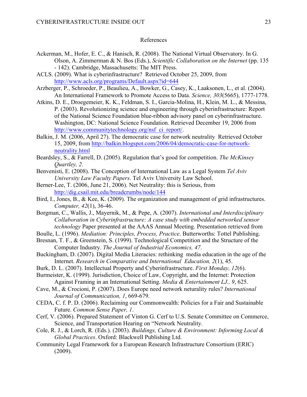#### References

- Ackerman, M., Hofer, E. C., & Hanisch, R. (2008). The National Virtual Observatory. In G. Olson, A. Zimmerman & N. Bos (Eds.), *Scientific Collaboration on the Internet* (pp. 135 - 142). Cambridge, Massachusetts: The MIT Press.
- ACLS. (2009). What is cyberinfrastructure? Retrieved October 25, 2009, from http://www.acls.org/programs/Default.aspx?id=644
- Arzberger, P., Schroeder, P., Beaulieu, A., Bowker, G., Casey, K., Laaksonen, L., et al. (2004). An International Framework to Promote Access to Data. *Science, 303*(5665), 1777-1778.
- Atkins, D. E., Droegemeier, K. K., Feldman, S. I., Garcia-Molina, H., Klein, M. L., & Messina, P. (2003). Revolutionizing science and engineering through cyberinfrastructure: Report of the National Science Foundation blue-ribbon advisory panel on cyberinfrastructure. Washington, DC: National Science Foundation. Retrieved December 19, 2006 from http://www.communitytechnology.org/nsf\_ci\_report/.
- Balkin, J. M. (2006, April 27). The democratic case for network neutrality Retrieved October 15, 2009, from http://balkin.blogspot.com/2006/04/democratic-case-for-networkneutrality.html
- Beardsley, S., & Farrell, D. (2005). Regulation that's good for competition. *The McKinsey Quartley, 2*.
- Benvenisti, E. (2008). The Conception of International Law as a Legal System *Tel Aviv University Law Faculty Papers*. Tel Aviv University Law School.
- Berner-Lee, T. (2006, June 21, 2006). Net Neutrality: this is Serious, from http://dig.csail.mit.edu/breadcrumbs/node/144
- Bird, I., Jones, B., & Kee, K. (2009). The organization and management of grid infrastructures. *Computer, 42*(1), 36-46.
- Borgman, C., Wallis, J., Mayernik, M., & Pepe, A. (2007). *International and Interdisciplinary Collaboration in Cyberinfrastructure: A case study with embedded networked sensor technology* Paper presented at the AAAS Annual Meeting. Presentation retrieved from
- Boulle, L. (1996). *Mediation: Principles, Process, Practice*. Butterworths: Tottel Publishing.
- Bresnan, T. F., & Greenstein, S. (1999). Technological Competition and the Structure of the Computer Industry. *The Journal of Industrial Economics, 47*.
- Buckingham, D. (2007). Digital Media Literacies: rethinking media education in the age of the Internet. *Research in Comparative and International Education, 2*(1), 45.
- Burk, D. L. (2007). Intellectual Property and Cyberinfrastructure. *First Monday, 12*(6).
- Burmeister, K. (1999). Jurisdiction, Choice of Law, Copyright, and the Internet: Protection Against Framing in an International Setting. *Media & Entertainment LJ., 9*, 625.
- Cave, M., & Crocioni, P. (2007). Does Europe need network neturality rules? *International Journal of Communication, 1*, 669-679.
- CEDA, C. f. P. D. (2006). Reclaiming our Commonwealth: Policies for a Fair and Sustainable Future. *Common Sense Paper, 1*.
- Cerf, V. (2006). Prepared Statement of Vinton G. Cerf to U.S. Senate Committee on Commerce, Science, and Transportation Hearing on "Network Neutrality.
- Cole, R. J., & Lorch, R. (Eds.). (2003). *Buildings, Culture & Environment: Informing Local & Global Practices*. Oxford: Blackwell Publishing Ltd.
- Community Legal Framework for a European Research Infrastructure Consortium (ERIC) (2009).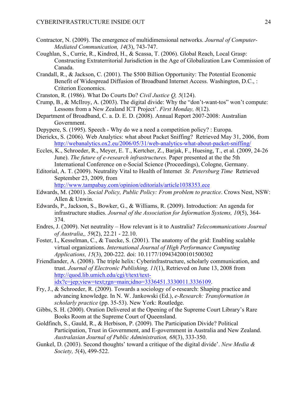- Contractor, N. (2009). The emergence of multidimensional networks. *Journal of Computer-Mediated Communication, 14*(3), 743-747.
- Coughlan, S., Currie, R., Kindred, H., & Scassa, T. (2006). Global Reach, Local Grasp: Constructing Extraterritorial Jurisdiction in the Age of Globalization Law Commission of Canada.
- Crandall, R., & Jackson, C. (2001). The \$500 Billion Opportunity: The Potential Economic Benefit of Widespread Diffusion of Broadband Internet Access. Washington, D.C., : Criterion Economics.
- Cranston, R. (1986). What Do Courts Do? *Civil Justice Q, 5*(124).
- Crump, B., & McIlroy, A. (2003). The digital divide: Why the "don't-want-tos" won't compute: Lessons from a New Zealand ICT Project'. *First Monday, 8*(12).
- Department of Broadband, C. a. D. E. D. (2008). Annual Report 2007-2008: Australian Government.
- Depypere, S. (1995). Speech Why do we a need a competition policy? : Europa.
- Dierickx, S. (2006). Web Analytics: what about Packet Sniffing? Retrieved May 31, 2006, from http://webanalytics.ox2.eu/2006/05/31/web-analytics-what-about-packet-sniffing/
- Eccles, K., Schroeder, R., Meyer, E. T., Kertcher, Z., Barjak, F., Huesing, T., et al. (2009, 24-26 June). *The future of e-research infrastructures.* Paper presented at the the 5th International Conference on e-Social Science (Proceedings), Cologne, Germany.
- Editorial, A. T. (2009). Neutrality Vital to Health of Internet *St. Petersburg Time* Retrieved September 23, 2009, from

http://www.tampabay.com/opinion/editorials/article1038353.ece

- Edwards, M. (2001). *Social Policy, Public Policy: From problem to practice*. Crows Nest, NSW: Allen & Unwin.
- Edwards, P., Jackson, S., Bowker, G., & Williams, R. (2009). Introduction: An agenda for infrastructure studies. *Journal of the Association for Information Systems, 10*(5), 364- 374.
- Endres, J. (2009). Net neutrality How relevant is it to Australia? *Telecommunications Journal of Australia,, 59*(2), 22.21 - 22.10.
- Foster, I., Kesselman, C., & Tuecke, S. (2001). The anatomy of the grid: Enabling scalable virtual organizations. *International Journal of High Performance Computing Applications, 15*(3), 200-222. doi: 10.1177/109434200101500302
- Friendlander, A. (2008). The triple helix: Cyberinfrastructure, scholarly communication, and trust. *Journal of Electronic Publishing, 11*(1), Retrieved on June 13, 2008 from http://quod.lib.umich.edu/cgi/t/text/textidx?c=jep;view=text;rgn=main;idno=3336451.3330011.3336109.
- Fry, J., & Schroeder, R. (2009). Towards a sociology of e-research: Shaping practice and advancing knowledge. In N. W. Jankowski (Ed.), *e-Research: Transformation in scholarly practice* (pp. 35-53). New York: Routledge.
- Gibbs, S. H. (2000). Oration Delivered at the Opening of the Supreme Court Library's Rare Books Room at the Supreme Court of Queensland.
- Goldfinch, S., Gauld, R., & Herbison, P. (2009). The Participation Divide? Political Participation, Trust in Government, and E-government in Australia and New Zealand. *Australasian Journal of Public Administration, 68*(3), 333-350.
- Gunkel, D. (2003). Second thoughts' toward a critique of the digital divide'. *New Media & Society, 5*(4), 499-522.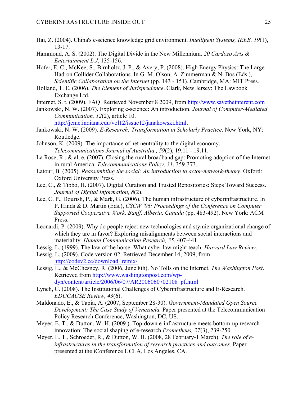- Hai, Z. (2004). China's e-science knowledge grid environment. *Intelligent Systems, IEEE, 19*(1), 13-17.
- Hammond, A. S. (2002). The Digital Divide in the New Millennium. *20 Cardozo Arts & Entertainment L.J*, 135-156.
- Hofer, E. C., McKee, S., Birnholtz, J. P., & Avery, P. (2008). High Energy Physics: The Large Hadron Collider Collaborations. In G. M. Olson, A. Zimmerman & N. Bos (Eds.), *Scientific Collaboration on the Internet* (pp. 143 - 151). Cambridge, MA: MIT Press.
- Holland, T. E. (2006). *The Element of Jurisprudence*. Clark, New Jersey: The Lawbook Exchange Ltd.
- Internet, S. t. (2009). FAQ Retrieved November 8 2009, from http://www.savetheinterent.com
- Jankowski, N. W. (2007). Exploring e-science: An introduction. *Journal of Computer-Mediated Communication, 12*(2), article 10.
	- http://jcmc.indiana.edu/vol12/issue12/janakowski.html.
- Jankowski, N. W. (2009). *E-Research: Transformation in Scholarly Practice*. New York, NY: Routledge.
- Johnson, K. (2009). The importance of net neutrality to the digital economy. *Telecommunications Journal of Australia,, 59*(2), 19.11 - 19.11.
- La Rose, R., & al, e. (2007). Closing the rural broadband gap: Promoting adoption of the Internet in rural America. *Telecommunications Policy, 31*, 359-373.
- Latour, B. (2005). *Reassembling the social: An introduction to actor-network-theory*. Oxford: Oxford University Press.
- Lee, C., & Tibbo, H. (2007). Digital Curation and Trusted Repositories: Steps Toward Success. *Journal of Digital Information, 8*(2).
- Lee, C. P., Dourish, P., & Mark, G. (2006). The human infrastructure of cyberinfrastructure. In P. Hinds & D. Martin (Eds.), *CSCW '06: Proceedings of the Conference on Computer Supported Cooperative Work, Banff, Alberta, Canada* (pp. 483-492). New York: ACM Press.
- Leonardi, P. (2009). Why do people reject new technologies and stymie organizational change of which they are in favor? Exploring misalignments between social interactions and materiality. *Human Communication Research, 35*, 407-441.
- Lessig, L. (1999). The law of the horse: What cyber law might teach. *Harvard Law Review*.
- Lessig, L. (2009). Code version 02 Retrieved December 14, 2009, from http://codev2.cc/download+remix/
- Lessig, L., & McChesney, R. (2006, June 8th). No Tolls on the Internet, *The Washington Post*. Retrieved from http://www.washingtonpost.com/wpdyn/content/article/2006/06/07/AR2006060702108\_pf.html
- Lynch, C. (2008). The Institutional Challenges of Cyberinfrastructure and E-Research. *EDUCAUSE Review, 43*(6).
- Maldonado, E., & Tapia, A. (2007, September 28-30). *Government-Mandated Open Source Development: The Case Study of Venezuela.* Paper presented at the Telecommunication Policy Research Conference, Washington, DC, US.
- Meyer, E. T., & Dutton, W. H. (2009 ). Top-down e-infrastructure meets bottom-up research innovation: The social shaping of e-research *Prometheus, 27*(3), 239-250.
- Meyer, E. T., Schroeder, R., & Dutton, W. H. (2008, 28 February-1 March). *The role of einfrastructures in the transformation of research practices and outcomes.* Paper presented at the iConference UCLA, Los Angeles, CA.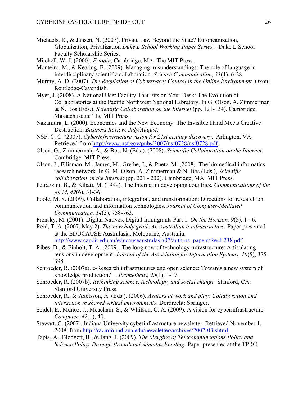- Michaels, R., & Jansen, N. (2007). Private Law Beyond the State? Europeanization, Globalization, Privatization *Duke L School Working Paper Series,* . Duke L School Faculty Scholarship Series.
- Mitchell, W. J. (2000). *E-topia*. Cambridge, MA: The MIT Press.
- Monteiro, M., & Keating, E. (2009). Managing misunderstandings: The role of language in interdisciplinary scientific collaboration. *Science Communication, 31*(1), 6-28.
- Murray, A. D. (2007). *The Regulation of Cyberspace: Control in the Online Environment*. Oxon: Routledge-Cavendish.
- Myer, J. (2008). A National User Facility That Fits on Your Desk: The Evolution of Collaboratories at the Pacific Northwest National Labratory. In G. Olson, A. Zimmerman & N. Bos (Eds.), *Scientific Collaboration on the Internet* (pp. 121-134). Cambridge, Massachusetts: The MIT Press.
- Nakamura, L. (2000). Economics and the New Economy: The Invisible Hand Meets Creative Destruction. *Business Review, July/August*.
- NSF, C. C. (2007). *Cyberinfrastructure vision for 21st century discovery*. Arlington, VA: Retrieved from http://www.nsf.gov/pubs/2007/nsf0728/nsf0728.pdf.
- Olson, G., Zimmerman, A., & Bos, N. (Eds.). (2008). *Scientific Collaboration on the Internet*. Cambridge: MIT Press.
- Olson, J., Ellisman, M., James, M., Grethe, J., & Puetz, M. (2008). The biomedical informatics research network. In G. M. Olson, A. Zimmerman & N. Bos (Eds.), *Scientific collaboration on the Internet* (pp. 221 - 232). Cambridge, MA: MIT Press.
- Petrazzini, B., & Kibati, M. (1999). The Internet in developing countries. *Communications of the ACM, 42*(6), 31-36.
- Poole, M. S. (2009). Collaboration, integration, and transformation: Directions for research on communication and information technologies. *Journal of Computer-Mediated Communication, 14*(3), 758-763.
- Prensky, M. (2001). Digital Natives, Digital Immigrants Part 1. *On the Horizon, 9*(5), 1 6.
- Reid, T. A. (2007, May 2). *The new holy grail: An Australian e-infrastructure.* Paper presented at the EDUCAUSE Australasia, Melbourne, Australia. http://www.caudit.edu.au/educauseaustralasia07/authors\_papers/Reid-238.pdf.
- Ribes, D., & Finholt, T. A. (2009). The long now of technology infrastructure: Articulating tensions in development. *Journal of the Association for Information Systems, 10*(5), 375- 398.
- Schroeder, R. (2007a). e-Research infrastructures and open science: Towards a new system of knowledge production? . *Prometheus, 25*(1), 1-17.
- Schroeder, R. (2007b). *Rethinking science, technology, and social change*. Stanford, CA: Stanford University Press.
- Schroeder, R., & Axelsson, A. (Eds.). (2006). *Avatars at work and play: Collaboration and interaction in shared virtual environments*. Dordrecht: Springer.
- Seidel, E., Muñoz, J., Meacham, S., & Whitson, C. A. (2009). A vision for cyberinfrastructure. *Computer, 42*(1), 40.
- Stewart, C. (2007). Indiana University cyberinfrastructure newsletter Retrieved November 1, 2008, from http://racinfo.indiana.edu/newsletter/archives/2007-03.shtml
- Tapia, A., Blodgett, B., & Jang, J. (2009). *The Merging of Telecommuncations Policy and Science Policy Through Broadband Stimulus Funding*. Paper presented at the TPRC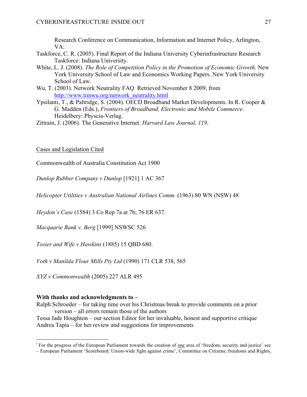Research Conference on Communication, Information and Internet Policy, Arlington, VA.

- Taskforce, C. R. (2005). Final Report of the Indiana University Cyberinfrastructure Research Taskforce: Indiana University.
- White, L. J. (2008). *The Role of Competition Policy in the Promotion of Economic Growth*. New York University School of Law and Economics Working Papers. New York University School of Law.
- Wu, T. (2003). Network Neutrality FAQ Retrieved November 8 2009, from http://www.timwu.org/network\_neutrality.html
- Ypsilanti, T., & Paltridge, S. (2004). OECD Broadband Market Developments. In R. Cooper & G. Madden (Eds.), *Frontiers of Broadband, Electronic and Mobile Commerce*. Heidelbery: Physcia-Verlag.

Zittrain, J. (2006). The Generative Internet. *Harvard Law Journal, 119*.

Cases and Legislation Cited

Commonwealth of Australia Constitution Act 1900

*Dunlop Rubber Company v Dunlop* [1921] 1 AC 367

*Helicopter Utilities v Australian National Airlines Comm.* (1963) 80 WN (NSW) 48

*Heydon's Case* (1584) 3 Co Rep 7a at 7b; 76 ER 637.

*Macquarie Bank v. Berg* [1999] NSWSC 526

*Tosier and Wife v Hawkins* (1885) 15 QBD 680.

*Voth v Manilda Flour Mills Pty Ltd* (1990) 171 CLR 538, 565

*XYZ v Commonwealth* (2005) 227 ALR 495

# **With thanks and acknowledgments to –**

Ralph Schroeder – for taking time over his Christmas break to provide comments on a prior version – all errors remain those of the authors

Tessa Jade Houghton – our section Editor for her invaluable, honest and supportive critique Andrea Tapia – for her review and suggestions for improvements

<sup>&</sup>lt;sup>i</sup> For the progress of the European Parliament towards the creation of one area of 'freedom, security and justice' see

<sup>–</sup> European Parliament 'Scoreboard: Union-wide fight against crime', Committee on Citizens; freedoms and Rights,